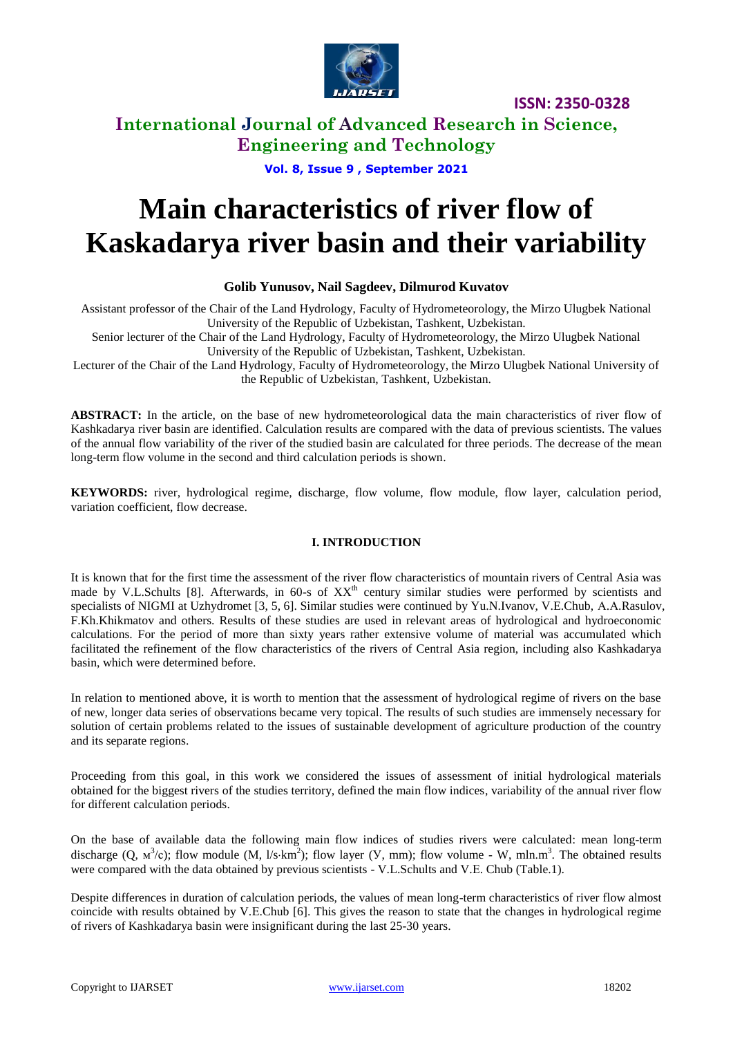

### **International Journal of Advanced Research in Science, Engineering and Technology**

**Vol. 8, Issue 9 , September 2021**

# **Main characteristics of river flow of Kaskadarya river basin and their variability**

### **Golib Yunusov, Nail Sagdeev, Dilmurod Kuvatov**

Assistant professor of the Chair of the Land Hydrology, Faculty of Hydrometeorology, the Mirzo Ulugbek National University of the Republic of Uzbekistan, Tashkent, Uzbekistan.

Senior lecturer of the Chair of the Land Hydrology, Faculty of Hydrometeorology, the Mirzo Ulugbek National University of the Republic of Uzbekistan, Tashkent, Uzbekistan.

Lecturer of the Chair of the Land Hydrology, Faculty of Hydrometeorology, the Mirzo Ulugbek National University of the Republic of Uzbekistan, Tashkent, Uzbekistan.

**ABSTRACT:** In the article, on the base of new hydrometeorological data the main characteristics of river flow of Kashkadarya river basin are identified. Calculation results are compared with the data of previous scientists. The values of the annual flow variability of the river of the studied basin are calculated for three periods. The decrease of the mean long-term flow volume in the second and third calculation periods is shown.

**KEYWORDS:** river, hydrological regime, discharge, flow volume, flow module, flow layer, calculation period, variation coefficient, flow decrease.

### **I. INTRODUCTION**

It is known that for the first time the assessment of the river flow characteristics of mountain rivers of Central Asia was made by V.L.Schults [8]. Afterwards, in 60-s of XX<sup>th</sup> century similar studies were performed by scientists and specialists of NIGMI at Uzhydromet [3, 5, 6]. Similar studies were continued by Yu.N.Ivanov, V.E.Chub, A.A.Rasulov, F.Kh.Khikmatov and others. Results of these studies are used in relevant areas of hydrological and hydroeconomic calculations. For the period of more than sixty years rather extensive volume of material was accumulated which facilitated the refinement of the flow characteristics of the rivers of Central Asia region, including also Kashkadarya basin, which were determined before.

In relation to mentioned above, it is worth to mention that the assessment of hydrological regime of rivers on the base of new, longer data series of observations became very topical. The results of such studies are immensely necessary for solution of certain problems related to the issues of sustainable development of agriculture production of the country and its separate regions.

Proceeding from this goal, in this work we considered the issues of assessment of initial hydrological materials obtained for the biggest rivers of the studies territory, defined the main flow indices, variability of the annual river flow for different calculation periods.

On the base of available data the following main flow indices of studies rivers were calculated: mean long-term discharge  $(Q, M^3/c)$ ; flow module  $(M, 1/s·km^2)$ ; flow layer  $(V, mm)$ ; flow volume - W, mln.m<sup>3</sup>. The obtained results were compared with the data obtained by previous scientists - V.L.Schults and V.Е. Chub (Table.1).

Despite differences in duration of calculation periods, the values of mean long-term characteristics of river flow almost coincide with results obtained by V.Е.Chub [6]. This gives the reason to state that the changes in hydrological regime of rivers of Kashkadarya basin were insignificant during the last 25-30 years.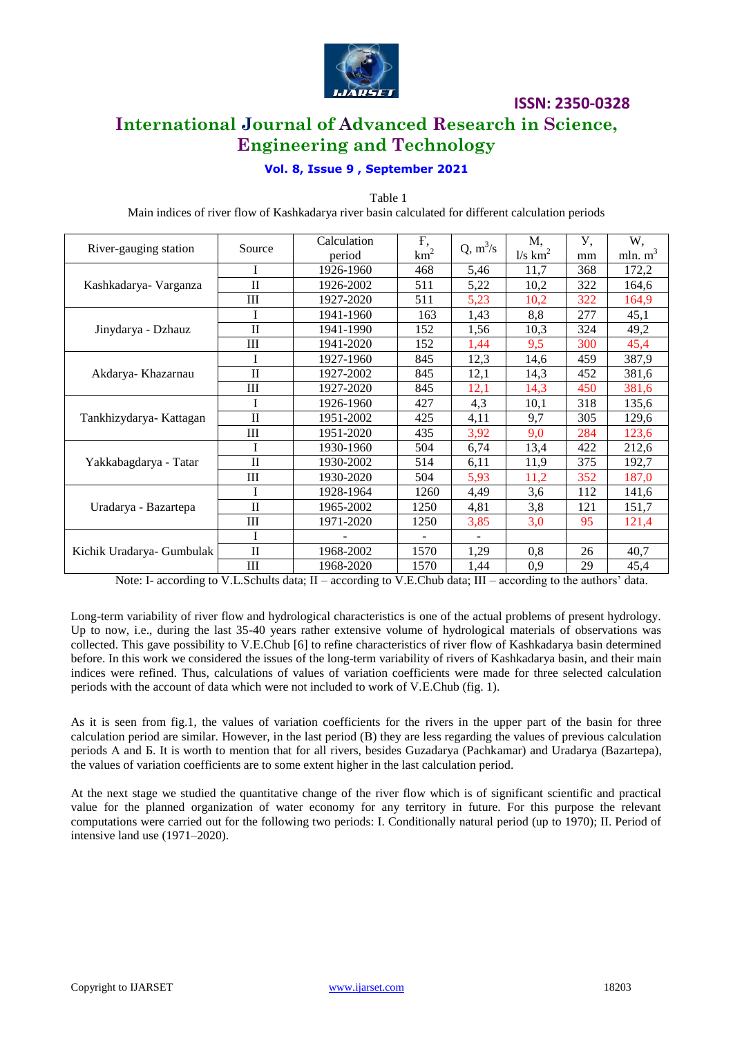

# **International Journal of Advanced Research in Science, Engineering and Technology**

### **Vol. 8, Issue 9 , September 2021**

Table 1 Main indices of river flow of Kashkadarya river basin calculated for different calculation periods

| River-gauging station     | Source       | Calculation | F,                | $Q, m^3/s$               | Μ,                    | У,  | W,         |
|---------------------------|--------------|-------------|-------------------|--------------------------|-----------------------|-----|------------|
|                           |              | period      | $km^2$            |                          | $1/s$ km <sup>2</sup> | mm  | mln. $m^3$ |
| Kashkadarya- Varganza     |              | 1926-1960   | 468               | 5,46                     | 11,7                  | 368 | 172,2      |
|                           | $\mathbf{I}$ | 1926-2002   | 511               | 5,22                     | 10,2                  | 322 | 164,6      |
|                           | Ш            | 1927-2020   | 511               | 5,23                     | 10,2                  | 322 | 164,9      |
| Jinydarya - Dzhauz        | T            | 1941-1960   | 163               | 1,43                     | 8,8                   | 277 | 45,1       |
|                           | $\mathbf{I}$ | 1941-1990   | 152               | 1,56                     | 10,3                  | 324 | 49,2       |
|                           | Ш            | 1941-2020   | 152               | 1,44                     | 9,5                   | 300 | 45,4       |
| Akdarya- Khazarnau        |              | 1927-1960   | 845               | 12,3                     | 14,6                  | 459 | 387,9      |
|                           | $\mathbf{I}$ | 1927-2002   | 845               | 12,1                     | 14,3                  | 452 | 381,6      |
|                           | Ш            | 1927-2020   | 845               | 12,1                     | 14,3                  | 450 | 381,6      |
| Tankhizydarya- Kattagan   |              | 1926-1960   | 427               | 4,3                      | 10,1                  | 318 | 135,6      |
|                           | $\mathbf{I}$ | 1951-2002   | 425               | 4,11                     | 9,7                   | 305 | 129,6      |
|                           | III          | 1951-2020   | 435               | 3,92                     | 9,0                   | 284 | 123,6      |
| Yakkabagdarya - Tatar     |              | 1930-1960   | 504               | 6,74                     | 13,4                  | 422 | 212,6      |
|                           | $\mathbf{I}$ | 1930-2002   | 514               | 6,11                     | 11,9                  | 375 | 192,7      |
|                           | Ш            | 1930-2020   | 504               | 5,93                     | 11,2                  | 352 | 187,0      |
| Uradarya - Bazartepa      |              | 1928-1964   | 1260              | 4,49                     | 3,6                   | 112 | 141,6      |
|                           | $\mathbf{I}$ | 1965-2002   | 1250              | 4,81                     | 3,8                   | 121 | 151,7      |
|                           | Ш            | 1971-2020   | 1250              | 3,85                     | 3,0                   | 95  | 121,4      |
| Kichik Uradarya- Gumbulak | I            |             | $\qquad \qquad -$ | $\overline{\phantom{a}}$ |                       |     |            |
|                           | $\mathbf{I}$ | 1968-2002   | 1570              | 1,29                     | 0,8                   | 26  | 40,7       |
|                           | Ш            | 1968-2020   | 1570              | 1,44                     | 0,9                   | 29  | 45,4       |

Note: I- according to V.L.Schults data; II – according to V.E.Chub data; III – according to the authors' data.

Long-term variability of river flow and hydrological characteristics is one of the actual problems of present hydrology. Up to now, i.e., during the last 35-40 years rather extensive volume of hydrological materials of observations was collected. This gave possibility to V.Е.Chub [6] to refine characteristics of river flow of Kashkadarya basin determined before. In this work we considered the issues of the long-term variability of rivers of Kashkadarya basin, and their main indices were refined. Thus, calculations of values of variation coefficients were made for three selected calculation periods with the account of data which were not included to work of V.Е.Chub (fig. 1).

As it is seen from fig.1, the values of variation coefficients for the rivers in the upper part of the basin for three calculation period are similar. However, in the last period (В) they are less regarding the values of previous calculation periods А and Б. It is worth to mention that for all rivers, besides Guzadarya (Pachkamar) and Uradarya (Bazartepa), the values of variation coefficients are to some extent higher in the last calculation period.

At the next stage we studied the quantitative change of the river flow which is of significant scientific and practical value for the planned organization of water economy for any territory in future. For this purpose the relevant computations were carried out for the following two periods: I. Conditionally natural period (up to 1970); II. Period of intensive land use (1971–2020).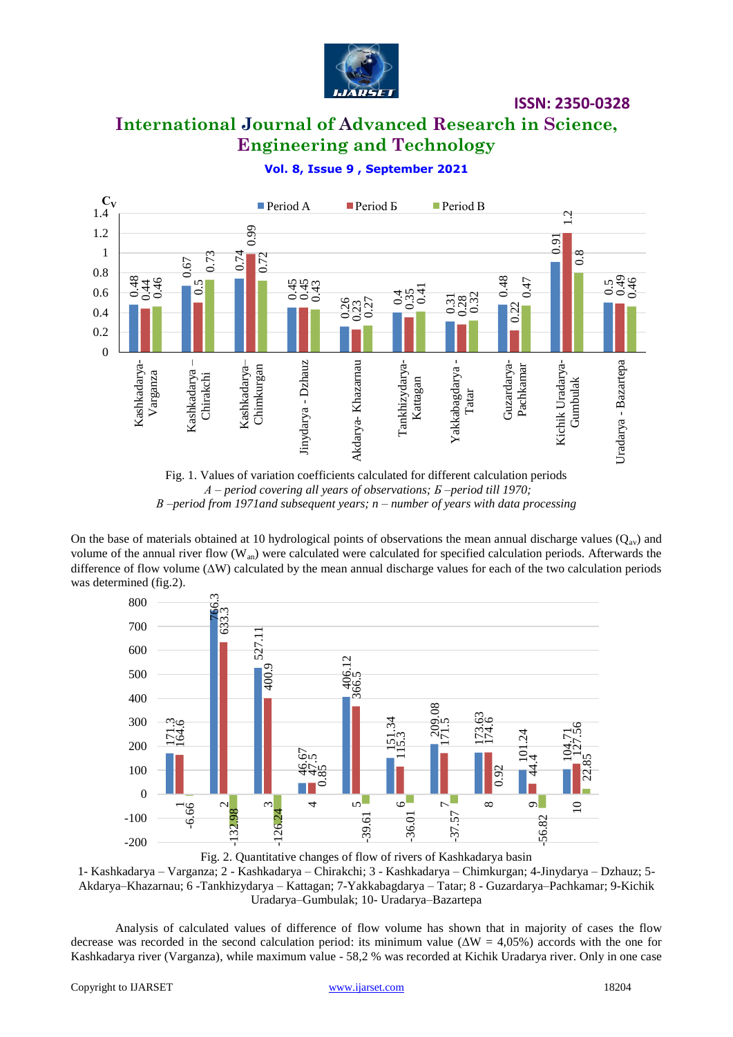

# **International Journal of Advanced Research in Science, Engineering and Technology**

### **Vol. 8, Issue 9 , September 2021**



Fig. 1. Values of variation coefficients calculated for different calculation periods *А – period covering all years of observations; Б –period till 1970; В –period from 1971and subsequent years; n – number of years with data processing*

On the base of materials obtained at 10 hydrological points of observations the mean annual discharge values ( $Q_{av}$ ) and volume of the annual river flow  $(W_{an})$  were calculated were calculated for specified calculation periods. Afterwards the difference of flow volume  $(\Delta W)$  calculated by the mean annual discharge values for each of the two calculation periods was determined (fig.2).



Fig. 2. Quantitative changes of flow of rivers of Kashkadarya basin 1- Kashkadarya – Varganza; 2 - Kashkadarya – Chirakchi; 3 - Kashkadarya – Chimkurgan; 4-Jinydarya – Dzhauz; 5- Akdarya–Khazarnau; 6 -Tankhizydarya – Kattagan; 7-Yakkabagdarya – Tatar; 8 - Guzardarya–Pachkamar; 9-Kichik Uradarya–Gumbulak; 10- Uradarya–Bazartepa

Analysis of calculated values of difference of flow volume has shown that in majority of cases the flow decrease was recorded in the second calculation period: its minimum value ( $\Delta W = 4.05\%$ ) accords with the one for